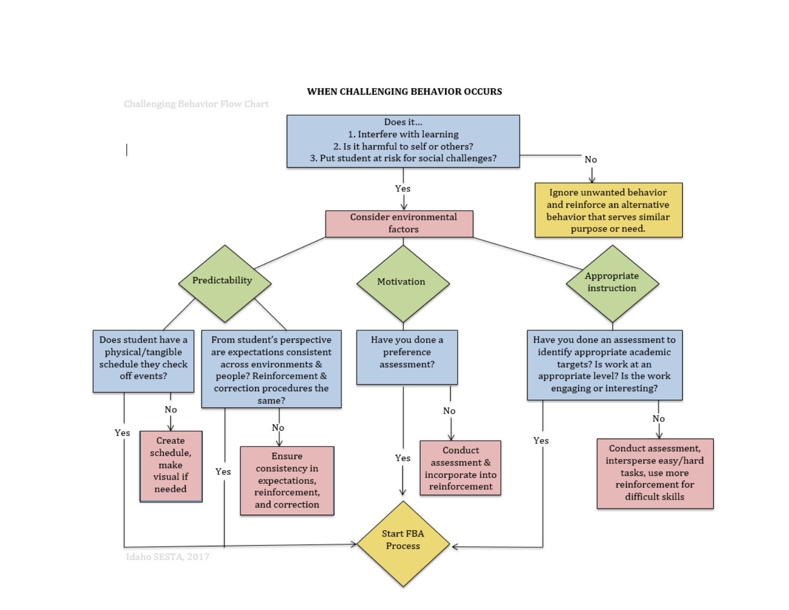

## WHEN CHALLENGING BEHAVIOR OCCURS